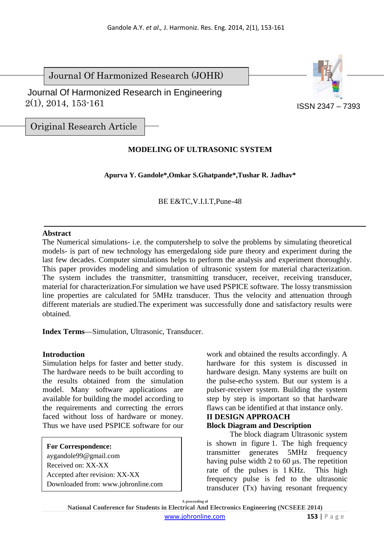Journal Of Harmonized Research (JOHR)

 2(1), 2014, 153-161 Journal Of Harmonized Research in Engineering



ISSN 2347 – 7393

Original Research Article

# **MODELING OF ULTRASONIC SYSTEM**

**Apurva Y. Gandole\*,Omkar S.Ghatpande\*,Tushar R. Jadhav\*** 

BE E&TC,V.I.I.T,Pune-48

#### **Abstract**

The Numerical simulations- i.e. the computershelp to solve the problems by simulating theoretical models- is part of new technology has emergedalong side pure theory and experiment during the last few decades. Computer simulations helps to perform the analysis and experiment thoroughly. This paper provides modeling and simulation of ultrasonic system for material characterization. The system includes the transmitter, transmitting transducer, receiver, receiving transducer, material for characterization.For simulation we have used PSPICE software. The lossy transmission line properties are calculated for 5MHz transducer. Thus the velocity and attenuation through different materials are studied.The experiment was successfully done and satisfactory results were obtained.

**Index Terms**—Simulation, Ultrasonic, Transducer.

### **Introduction**

Simulation helps for faster and better study. The hardware needs to be built according to the results obtained from the simulation model. Many software applications are available for building the model according to the requirements and correcting the errors faced without loss of hardware or money. Thus we have used PSPICE software for our

**For Correspondence:**  aygandole99@gmail.com Received on: XX-XX Accepted after revision: XX-XX Downloaded from: www.johronline.com

work and obtained the results accordingly. A hardware for this system is discussed in hardware design. Many systems are built on the pulse-echo system. But our system is a pulser-receiver system. Building the system step by step is important so that hardware flaws can be identified at that instance only.

#### **II DESIGN APPROACH Block Diagram and Description**

The block diagram Ultrasonic system is shown in figure 1. The high frequency transmitter generates 5MHz frequency having pulse width 2 to 60 µs. The repetition rate of the pulses is 1 KHz. This high frequency pulse is fed to the ultrasonic transducer (Tx) having resonant frequency

**A proceeding of National Conference for Students in Electrical And Electronics Engineering (NCSEEE 2014)**  www.johronline.com **153** | P a g e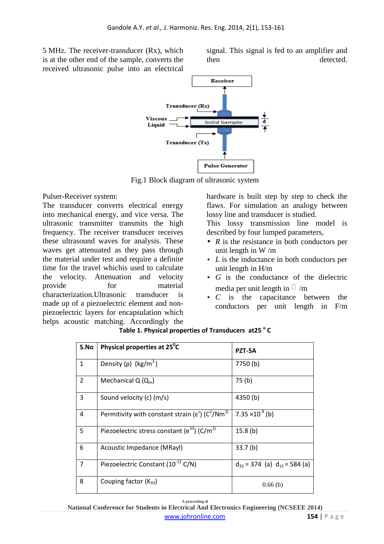5 MHz. The receiver-transducer (Rx), which is at the other end of the sample, converts the received ultrasonic pulse into an electrical signal. This signal is fed to an amplifier and then detected.



Fig.1 Block diagram of ultrasonic system

Pulser-Receiver system:

The transducer converts electrical energy into mechanical energy, and vice versa. The ultrasonic transmitter transmits the high frequency. The receiver transducer receives these ultrasound waves for analysis. These waves get attenuated as they pass through the material under test and require a definite time for the travel whichis used to calculate the velocity. Attenuation and velocity provide for material characterization.Ultrasonic transducer is made up of a piezoelectric element and nonpiezoelectric layers for encapsulation which helps acoustic matching. Accordingly the

hardware is built step by step to check the flaws. For simulation an analogy between lossy line and transducer is studied.

This lossy transmission line model is described by four lumped parameters,

- *R* is the resistance in both conductors per unit length in W /m
- *L* is the inductance in both conductors per unit length in H/m
- *G* is the conductance of the dielectric media per unit length in /m
- *C* is the capacitance between the conductors per unit length in F/m

| S.No           | Physical properties at 25 <sup>°</sup> C                                  | PZT-5A                                |
|----------------|---------------------------------------------------------------------------|---------------------------------------|
| $\mathbf{1}$   | Density (p) $(kg/m^3)$                                                    | 7750(b)                               |
| $\overline{2}$ | Mechanical $Q(Q_m)$                                                       | 75 <sub>(b)</sub>                     |
| 3              | Sound velocity (c) (m/s)                                                  | 4350(b)                               |
| 4              | Permitivity with constant strain ( $\varepsilon^{s}$ ) ( $C^{2}/Nm^{2}$ ) | 7.35 $\times$ 10 <sup>-9</sup> (b)    |
| 5              | Piezoelectric stress constant ( $e^{33}$ ) (C/m <sup>2)</sup>             | 15.8(b)                               |
| 6              | Acoustic Impedance (MRayl)                                                | 33.7 <sub>(b)</sub>                   |
| $\overline{7}$ | Piezoelectric Constant (10 <sup>-12</sup> C/N)                            | $d_{33}$ = 374 (a) $d_{15}$ = 584 (a) |
| 8              | Couping factor $(K_{33})$                                                 | 0.66(b)                               |

**Table 1. Physical properties of Transducers at25 <sup>o</sup> C** 

**A proceeding of National Conference for Students in Electrical And Electronics Engineering (NCSEEE 2014)**  www.johronline.com **154** | P a g e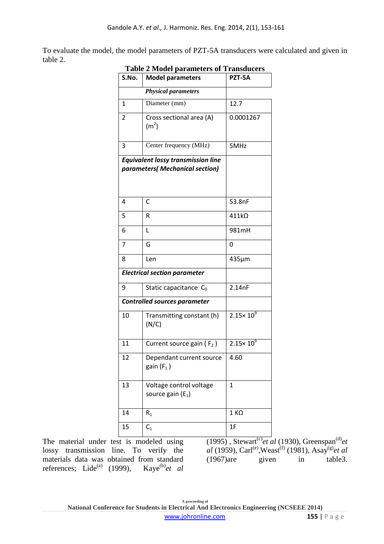To evaluate the model, the model parameters of PZT-5A transducers were calculated and given in table 2.

| S.No. | <b>Model parameters</b>                                                      | PZT-5A               |
|-------|------------------------------------------------------------------------------|----------------------|
|       | <b>Physical parameters</b>                                                   |                      |
| 1     | Diameter (mm)                                                                | 12.7                 |
| 2     | Cross sectional area (A)<br>(m <sup>2</sup> )                                | 0.0001267            |
| 3     | Center frequency (MHz)                                                       | 5MHz                 |
|       | <b>Equivalent lossy transmission line</b><br>parameters( Mechanical section) |                      |
| 4     | C                                                                            | 53.8nF               |
| 5     | R                                                                            | $411k\Omega$         |
| 6     | L                                                                            | 981mH                |
| 7     | G                                                                            | 0                    |
| 8     | Len                                                                          | 435µm                |
|       | <b>Electrical section parameter</b>                                          |                      |
| 9     | Static capacitance $C_0$                                                     | 2.14nF               |
|       | <b>Controlled sources parameter</b>                                          |                      |
| 10    | Transmitting constant (h)<br>(N/C)                                           | $2.15 \times 10^{9}$ |
| 11    | Current source gain ( $F_2$ )                                                | $2.15 \times 10^{9}$ |
| 12    | Dependant current source<br>gain $(F_1)$                                     | 4.60                 |
| 13    | Voltage control voltage<br>source gain $(E_1)$                               | $\mathbf{1}$         |
| 14    | $R_1$                                                                        | $1 K\Omega$          |
| 15    | $C_1$                                                                        | 1F                   |

#### **Table 2 Model parameters of Transducers**

The material under test is modeled using lossy transmission line. To verify the materials data was obtained from standard references; Lide<sup>(a)</sup> (1999), Kaye<sup>(b)</sup>*et al* 

 $(1995)$ , Stewart<sup>(c)</sup>et al (1930), Greenspan<sup>(d)</sup>et *al* (1959), Carl<sup>(e)</sup>, Weast<sup>(f)</sup> (1981), Asay<sup>(g)</sup>*et al* (1967)are given in table3.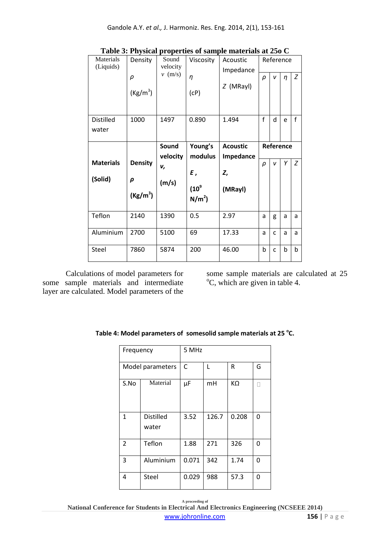|                        |                      |                   |                  | radic of rhysical properties of sample materials at 200 $\circ$ |             |              |           |              |
|------------------------|----------------------|-------------------|------------------|-----------------------------------------------------------------|-------------|--------------|-----------|--------------|
| Materials<br>(Liquids) | Density              | Sound<br>velocity | Viscosity        | Acoustic<br>Impedance                                           |             |              | Reference |              |
|                        | $\rho$<br>$(Kg/m^3)$ | $v$ (m/s)         | $\eta$<br>(CP)   | $Z$ (MRayl)                                                     | $\rho$      | v            | $\eta$    | Z            |
|                        |                      |                   |                  |                                                                 |             |              |           |              |
| <b>Distilled</b>       | 1000                 | 1497              | 0.890            | 1.494                                                           | $\mathbf f$ | d            | e         | $\mathsf{f}$ |
| water                  |                      |                   |                  |                                                                 |             |              |           |              |
|                        |                      | Sound             | Young's          | <b>Acoustic</b>                                                 |             |              | Reference |              |
|                        |                      | velocity          | modulus          | Impedance                                                       |             |              |           |              |
| <b>Materials</b>       | <b>Density</b>       | v,                |                  |                                                                 | ρ           | v            | Υ         | Z            |
| (Solid)                | ρ                    |                   | Ε,               | Z,                                                              |             |              |           |              |
|                        |                      | (m/s)             | (10 <sup>9</sup> | (MRayl)                                                         |             |              |           |              |
|                        | $(Kg/m^3)$           |                   | $N/m^2$ )        |                                                                 |             |              |           |              |
| Teflon                 | 2140                 | 1390              | 0.5              | 2.97                                                            | a           | g            | a         | a            |
| Aluminium              | 2700                 | 5100              | 69               | 17.33                                                           | a           | $\mathsf{C}$ | a         | a            |
| Steel                  | 7860                 | 5874              | 200              | 46.00                                                           | $\mathbf b$ | $\mathsf{C}$ | b         | b            |

**Table 3: Physical properties of sample materials at 25o C** 

Calculations of model parameters for some sample materials and intermediate layer are calculated. Model parameters of the

some sample materials are calculated at 25  $\mathrm{^{\circ}C}$ , which are given in table 4.

| Frequency |                           | 5 MHz |       |       |   |
|-----------|---------------------------|-------|-------|-------|---|
|           | Model parameters          | C     | L     | R     | G |
| S.No      | Material                  | μF    | mH    | KΩ    |   |
| 1         | <b>Distilled</b><br>water | 3.52  | 126.7 | 0.208 | 0 |
| 2         | Teflon                    | 1.88  | 271   | 326   | 0 |
| 3         | Aluminium                 | 0.071 | 342   | 1.74  | 0 |
| 4         | Steel                     | 0.029 | 988   | 57.3  | 0 |

Table 4: Model parameters of somesolid sample materials at 25 °C.

**A proceeding of National Conference for Students in Electrical And Electronics Engineering (NCSEEE 2014)**  www.johronline.com **156** | P a g e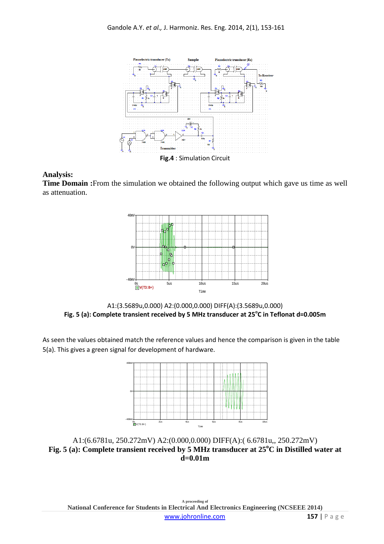

#### **Analysis:**

**Time Domain :**From the simulation we obtained the following output which gave us time as well as attenuation.



A1:(3.5689u,0.000) A2:(0.000,0.000) DIFF(A):(3.5689u,0.000) **Fig. 5 (a): Complete transient received by 5 MHz transducer at 25<sup>o</sup> C in Teflonat d=0.005m** 

As seen the values obtained match the reference values and hence the comparison is given in the table 5(a). This gives a green signal for development of hardware.



A1:(6.6781u, 250.272mV) A2:(0.000,0.000) DIFF(A):( 6.6781u,, 250.272mV) **Fig. 5 (a): Complete transient received by 5 MHz transducer at 25<sup>o</sup>C in Distilled water at d=0.01m**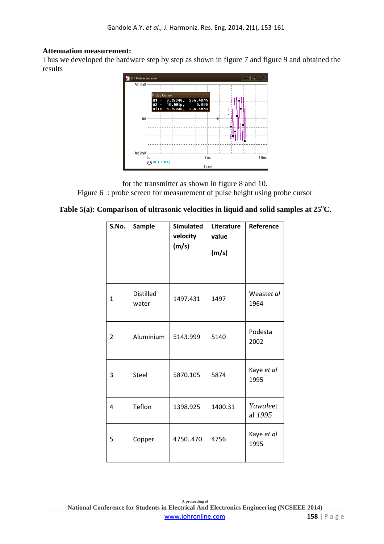#### **Attenuation measurement:**

Thus we developed the hardware step by step as shown in figure 7 and figure 9 and obtained the results



for the transmitter as shown in figure 8 and 10. Figure 6 : probe screen for measurement of pulse height using probe cursor

### **Table 5(a): Comparison of ultrasonic velocities in liquid and solid samples at 25<sup>o</sup>C.**

| S.No. | <b>Sample</b>             | <b>Simulated</b><br>velocity<br>(m/s) | Literature<br>value<br>(m/s) | Reference           |
|-------|---------------------------|---------------------------------------|------------------------------|---------------------|
| 1     | <b>Distilled</b><br>water | 1497.431                              | 1497                         | Weastet al<br>1964  |
| 2     | Aluminium                 | 5143.999                              | 5140                         | Podesta<br>2002     |
| 3     | Steel                     | 5870.105                              | 5874                         | Kaye et al<br>1995  |
| 4     | Teflon                    | 1398.925                              | 1400.31                      | Yawaleet<br>al 1995 |
| 5     | Copper                    | 4750470                               | 4756                         | Kaye et al<br>1995  |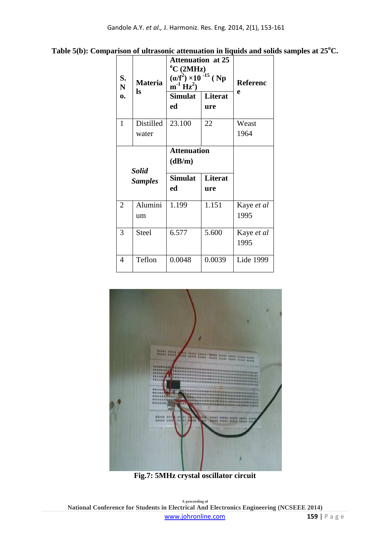| Table 5(b): Comparison of ultrasonic attenuation in liquids and solids samples at $25^{\circ}$ C. |  |  |  |
|---------------------------------------------------------------------------------------------------|--|--|--|
|                                                                                                   |  |  |  |

| S.<br><b>Materia</b><br>$\mathbf N$<br>ls |                | <b>Attenuation at 25</b><br>$\rm ^{o}C$ (2MHz)<br>$(\alpha/f^2) \times 10^{-15}$ (Np<br>$m^{-1} Hz^2$ | <b>Referenc</b><br>e |            |
|-------------------------------------------|----------------|-------------------------------------------------------------------------------------------------------|----------------------|------------|
| $\mathbf{0}$                              |                | <b>Simulat</b>                                                                                        | Literat              |            |
|                                           |                | ed                                                                                                    | ure                  |            |
| $\mathbf{1}$                              | Distilled      | 23.100                                                                                                | 22                   | Weast      |
|                                           | water          |                                                                                                       |                      | 1964       |
|                                           |                | <b>Attenuation</b>                                                                                    |                      |            |
|                                           |                | (dB/m)                                                                                                |                      |            |
|                                           |                |                                                                                                       |                      |            |
|                                           | <b>Solid</b>   | <b>Simulat</b>                                                                                        | <b>Literat</b>       |            |
|                                           | <b>Samples</b> | ed                                                                                                    | ure                  |            |
| $\overline{2}$                            | Alumini        | 1.199                                                                                                 | 1.151                | Kaye et al |
|                                           | um             |                                                                                                       |                      | 1995       |
| 3                                         | <b>Steel</b>   | 6.577                                                                                                 | 5.600                | Kaye et al |
|                                           |                |                                                                                                       |                      | 1995       |



**Fig.7: 5MHz crystal oscillator circuit**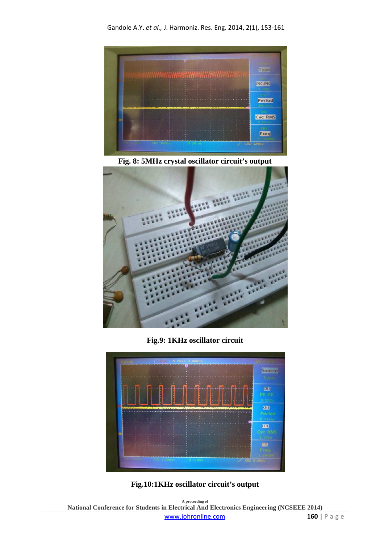

**Fig. 8: 5MHz crystal oscillator circuit's output** 



**Fig.9: 1KHz oscillator circuit** 





**A proceeding of National Conference for Students in Electrical And Electronics Engineering (NCSEEE 2014)**  www.johronline.com **160** | P a g e